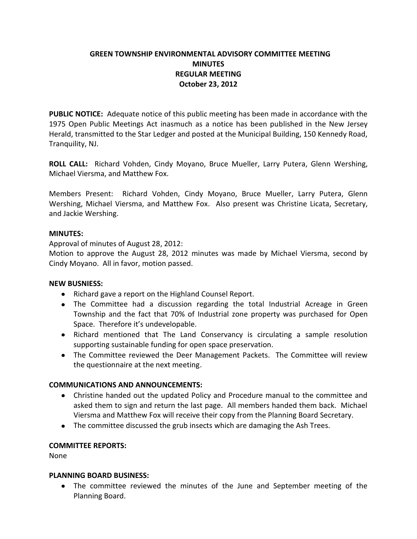# **GREEN TOWNSHIP ENVIRONMENTAL ADVISORY COMMITTEE MEETING MINUTES REGULAR MEETING October 23, 2012**

**PUBLIC NOTICE:** Adequate notice of this public meeting has been made in accordance with the 1975 Open Public Meetings Act inasmuch as a notice has been published in the New Jersey Herald, transmitted to the Star Ledger and posted at the Municipal Building, 150 Kennedy Road, Tranquility, NJ.

**ROLL CALL:** Richard Vohden, Cindy Moyano, Bruce Mueller, Larry Putera, Glenn Wershing, Michael Viersma, and Matthew Fox.

Members Present: Richard Vohden, Cindy Moyano, Bruce Mueller, Larry Putera, Glenn Wershing, Michael Viersma, and Matthew Fox. Also present was Christine Licata, Secretary, and Jackie Wershing.

# **MINUTES:**

Approval of minutes of August 28, 2012:

Motion to approve the August 28, 2012 minutes was made by Michael Viersma, second by Cindy Moyano. All in favor, motion passed.

### **NEW BUSNIESS:**

- Richard gave a report on the Highland Counsel Report.
- The Committee had a discussion regarding the total Industrial Acreage in Green Township and the fact that 70% of Industrial zone property was purchased for Open Space. Therefore it's undevelopable.
- Richard mentioned that The Land Conservancy is circulating a sample resolution supporting sustainable funding for open space preservation.
- The Committee reviewed the Deer Management Packets. The Committee will review the questionnaire at the next meeting.

### **COMMUNICATIONS AND ANNOUNCEMENTS:**

- Christine handed out the updated Policy and Procedure manual to the committee and asked them to sign and return the last page. All members handed them back. Michael Viersma and Matthew Fox will receive their copy from the Planning Board Secretary.
- The committee discussed the grub insects which are damaging the Ash Trees.

### **COMMITTEE REPORTS:**

None

### **PLANNING BOARD BUSINESS:**

The committee reviewed the minutes of the June and September meeting of the Planning Board.